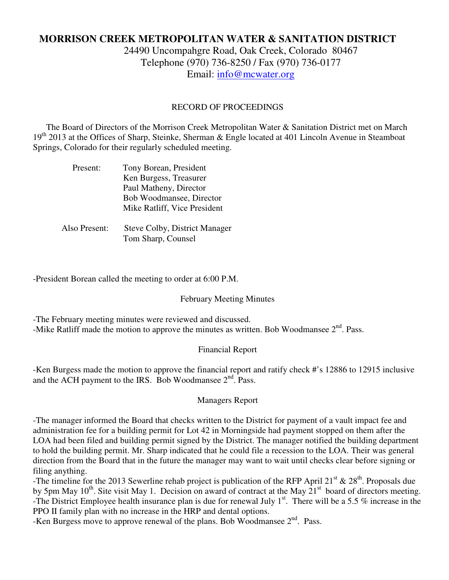# **MORRISON CREEK METROPOLITAN WATER & SANITATION DISTRICT**

24490 Uncompahgre Road, Oak Creek, Colorado 80467 Telephone (970) 736-8250 / Fax (970) 736-0177 Email: info@mcwater.org

#### RECORD OF PROCEEDINGS

 The Board of Directors of the Morrison Creek Metropolitan Water & Sanitation District met on March  $19<sup>th</sup>$  2013 at the Offices of Sharp, Steinke, Sherman & Engle located at 401 Lincoln Avenue in Steamboat Springs, Colorado for their regularly scheduled meeting.

| Present:      | Tony Borean, President               |
|---------------|--------------------------------------|
|               | Ken Burgess, Treasurer               |
|               | Paul Matheny, Director               |
|               | Bob Woodmansee, Director             |
|               | Mike Ratliff, Vice President         |
|               |                                      |
| Also Present: | <b>Steve Colby, District Manager</b> |
|               | Tom Sharp, Counsel                   |

-President Borean called the meeting to order at 6:00 P.M.

#### February Meeting Minutes

-The February meeting minutes were reviewed and discussed.

-Mike Ratliff made the motion to approve the minutes as written. Bob Woodmansee  $2<sup>nd</sup>$ . Pass.

## Financial Report

-Ken Burgess made the motion to approve the financial report and ratify check #'s 12886 to 12915 inclusive and the ACH payment to the IRS. Bob Woodmansee  $2<sup>nd</sup>$ . Pass.

## Managers Report

-The manager informed the Board that checks written to the District for payment of a vault impact fee and administration fee for a building permit for Lot 42 in Morningside had payment stopped on them after the LOA had been filed and building permit signed by the District. The manager notified the building department to hold the building permit. Mr. Sharp indicated that he could file a recession to the LOA. Their was general direction from the Board that in the future the manager may want to wait until checks clear before signing or filing anything.

-The timeline for the 2013 Sewerline rehab project is publication of the RFP April 21<sup>st</sup> & 28<sup>th</sup>. Proposals due by 5pm May 10<sup>th</sup>. Site visit May 1. Decision on award of contract at the May 21<sup>st</sup> board of directors meeting. -The District Employee health insurance plan is due for renewal July  $1<sup>st</sup>$ . There will be a 5.5 % increase in the PPO II family plan with no increase in the HRP and dental options.

-Ken Burgess move to approve renewal of the plans. Bob Woodmansee  $2<sup>nd</sup>$ . Pass.